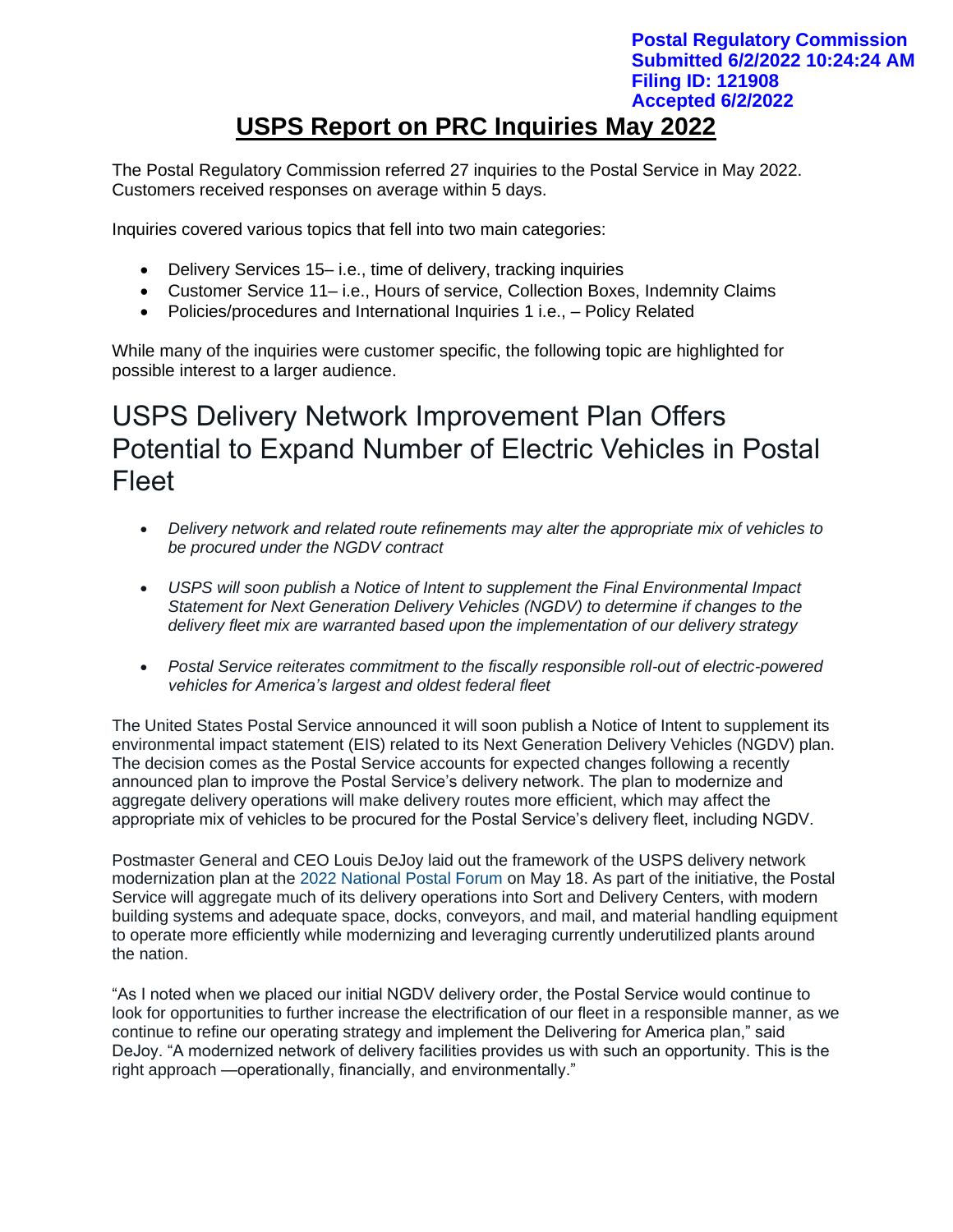## **USPS Report on PRC Inquiries May 2022 Postal Regulatory Commission Submitted 6/2/2022 10:24:24 AM Filing ID: 121908 Accepted 6/2/2022**

The Postal Regulatory Commission referred 27 inquiries to the Postal Service in May 2022. Customers received responses on average within 5 days.

Inquiries covered various topics that fell into two main categories:

- Delivery Services 15– i.e., time of delivery, tracking inquiries
- Customer Service 11– i.e., Hours of service, Collection Boxes, Indemnity Claims
- Policies/procedures and International Inquiries 1 i.e., Policy Related

While many of the inquiries were customer specific, the following topic are highlighted for possible interest to a larger audience.

# USPS Delivery Network Improvement Plan Offers Potential to Expand Number of Electric Vehicles in Postal Fleet

- *Delivery network and related route refinements may alter the appropriate mix of vehicles to be procured under the NGDV contract*
- *USPS will soon publish a Notice of Intent to supplement the Final Environmental Impact Statement for Next Generation Delivery Vehicles (NGDV) to determine if changes to the delivery fleet mix are warranted based upon the implementation of our delivery strategy*
- *Postal Service reiterates commitment to the fiscally responsible roll-out of electric-powered vehicles for America's largest and oldest federal fleet*

The United States Postal Service announced it will soon publish a Notice of Intent to supplement its environmental impact statement (EIS) related to its Next Generation Delivery Vehicles (NGDV) plan. The decision comes as the Postal Service accounts for expected changes following a recently announced plan to improve the Postal Service's delivery network. The plan to modernize and aggregate delivery operations will make delivery routes more efficient, which may affect the appropriate mix of vehicles to be procured for the Postal Service's delivery fleet, including NGDV.

Postmaster General and CEO Louis DeJoy laid out the framework of the USPS delivery network modernization plan at the [2022 National Postal Forum](https://about.usps.com/newsroom/national-releases/2022/0518-video-and-transcript-of-pmg-louis-dejoys-keynote-address-during-2022-national-postal-forum.htm) on May 18. As part of the initiative, the Postal Service will aggregate much of its delivery operations into Sort and Delivery Centers, with modern building systems and adequate space, docks, conveyors, and mail, and material handling equipment to operate more efficiently while modernizing and leveraging currently underutilized plants around the nation.

"As I noted when we placed our initial NGDV delivery order, the Postal Service would continue to look for opportunities to further increase the electrification of our fleet in a responsible manner, as we continue to refine our operating strategy and implement the Delivering for America plan," said DeJoy. "A modernized network of delivery facilities provides us with such an opportunity. This is the right approach —operationally, financially, and environmentally."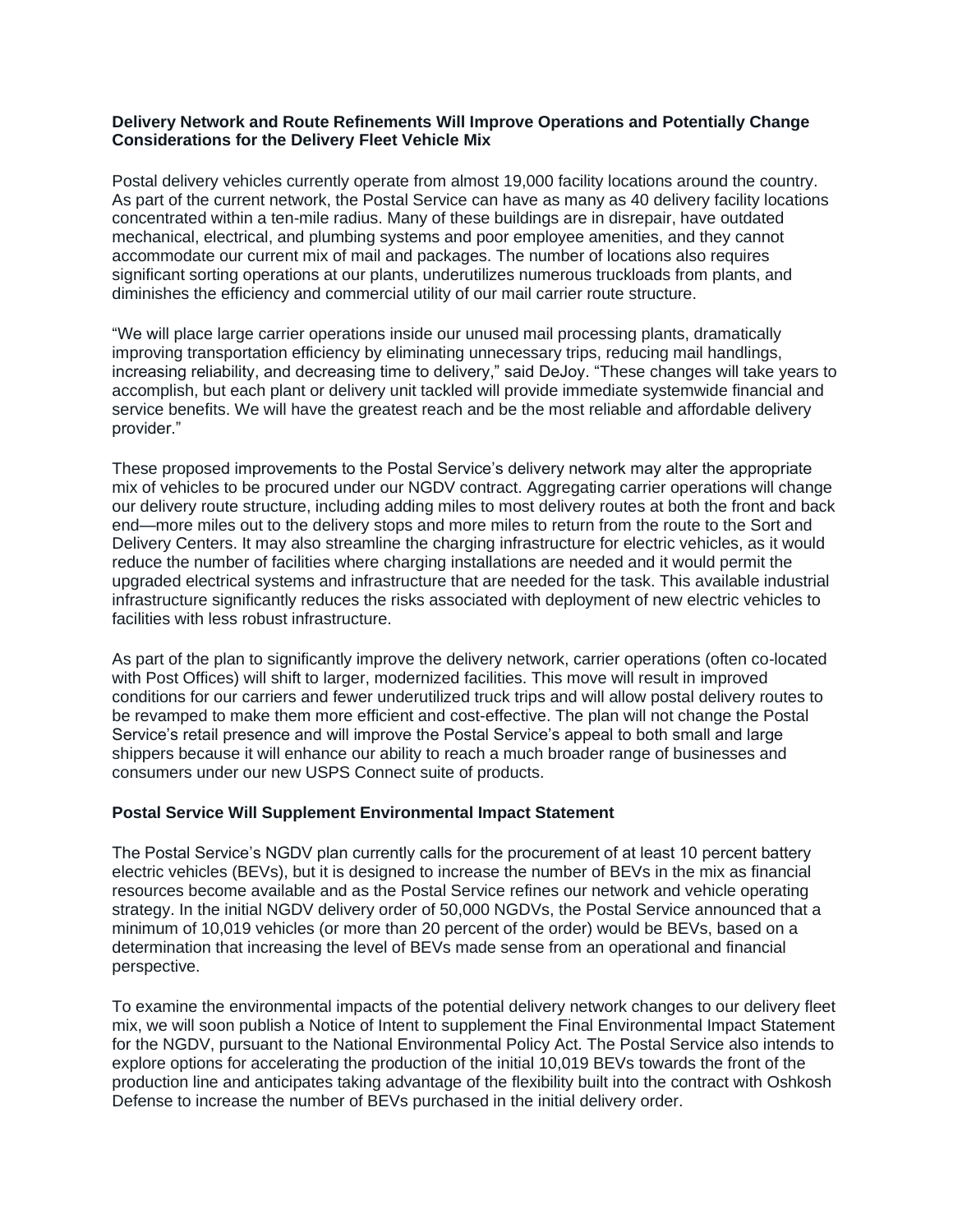#### **Delivery Network and Route Refinements Will Improve Operations and Potentially Change Considerations for the Delivery Fleet Vehicle Mix**

Postal delivery vehicles currently operate from almost 19,000 facility locations around the country. As part of the current network, the Postal Service can have as many as 40 delivery facility locations concentrated within a ten-mile radius. Many of these buildings are in disrepair, have outdated mechanical, electrical, and plumbing systems and poor employee amenities, and they cannot accommodate our current mix of mail and packages. The number of locations also requires significant sorting operations at our plants, underutilizes numerous truckloads from plants, and diminishes the efficiency and commercial utility of our mail carrier route structure.

"We will place large carrier operations inside our unused mail processing plants, dramatically improving transportation efficiency by eliminating unnecessary trips, reducing mail handlings, increasing reliability, and decreasing time to delivery," said DeJoy. "These changes will take years to accomplish, but each plant or delivery unit tackled will provide immediate systemwide financial and service benefits. We will have the greatest reach and be the most reliable and affordable delivery provider."

These proposed improvements to the Postal Service's delivery network may alter the appropriate mix of vehicles to be procured under our NGDV contract. Aggregating carrier operations will change our delivery route structure, including adding miles to most delivery routes at both the front and back end—more miles out to the delivery stops and more miles to return from the route to the Sort and Delivery Centers. It may also streamline the charging infrastructure for electric vehicles, as it would reduce the number of facilities where charging installations are needed and it would permit the upgraded electrical systems and infrastructure that are needed for the task. This available industrial infrastructure significantly reduces the risks associated with deployment of new electric vehicles to facilities with less robust infrastructure.

As part of the plan to significantly improve the delivery network, carrier operations (often co-located with Post Offices) will shift to larger, modernized facilities. This move will result in improved conditions for our carriers and fewer underutilized truck trips and will allow postal delivery routes to be revamped to make them more efficient and cost-effective. The plan will not change the Postal Service's retail presence and will improve the Postal Service's appeal to both small and large shippers because it will enhance our ability to reach a much broader range of businesses and consumers under our new USPS Connect suite of products.

### **Postal Service Will Supplement Environmental Impact Statement**

The Postal Service's NGDV plan currently calls for the procurement of at least 10 percent battery electric vehicles (BEVs), but it is designed to increase the number of BEVs in the mix as financial resources become available and as the Postal Service refines our network and vehicle operating strategy. In the initial NGDV delivery order of 50,000 NGDVs, the Postal Service announced that a minimum of 10,019 vehicles (or more than 20 percent of the order) would be BEVs, based on a determination that increasing the level of BEVs made sense from an operational and financial perspective.

To examine the environmental impacts of the potential delivery network changes to our delivery fleet mix, we will soon publish a Notice of Intent to supplement the Final Environmental Impact Statement for the NGDV, pursuant to the National Environmental Policy Act. The Postal Service also intends to explore options for accelerating the production of the initial 10,019 BEVs towards the front of the production line and anticipates taking advantage of the flexibility built into the contract with Oshkosh Defense to increase the number of BEVs purchased in the initial delivery order.